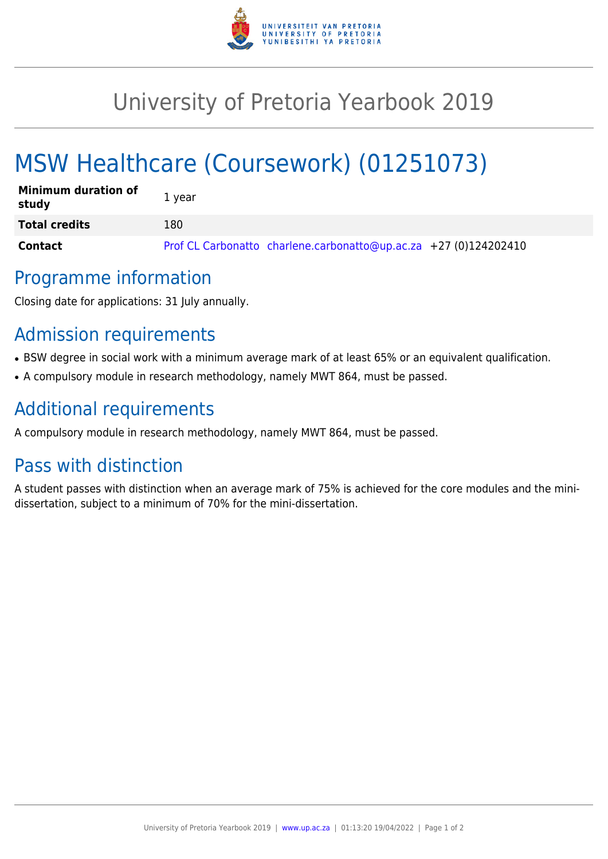

## University of Pretoria Yearbook 2019

# MSW Healthcare (Coursework) (01251073)

| <b>Minimum duration of</b><br>study | 1 year                                                           |
|-------------------------------------|------------------------------------------------------------------|
| <b>Total credits</b>                | 180                                                              |
| <b>Contact</b>                      | Prof CL Carbonatto charlene.carbonatto@up.ac.za +27 (0)124202410 |

#### Programme information

Closing date for applications: 31 July annually.

## Admission requirements

- BSW degree in social work with a minimum average mark of at least 65% or an equivalent qualification.
- A compulsory module in research methodology, namely MWT 864, must be passed.

#### Additional requirements

A compulsory module in research methodology, namely MWT 864, must be passed.

## Pass with distinction

A student passes with distinction when an average mark of 75% is achieved for the core modules and the minidissertation, subject to a minimum of 70% for the mini-dissertation.